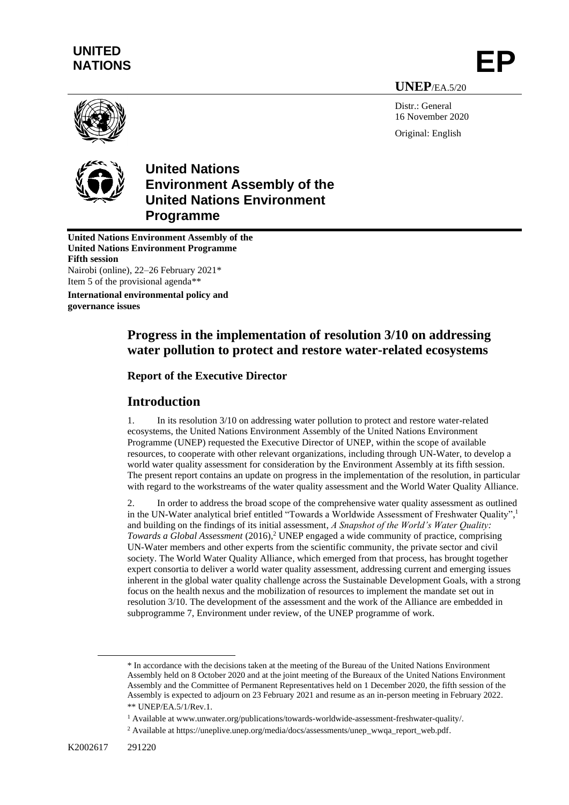# **UNITED** UNITED<br>NATIONS **EP**

**UNEP**/EA.5/20

Distr · General 16 November 2020 Original: English





# **United Nations Environment Assembly of the United Nations Environment Programme**

**United Nations Environment Assembly of the United Nations Environment Programme Fifth session** Nairobi (online), 22–26 February 2021\* Item 5 of the provisional agenda\*\*

**International environmental policy and governance issues**

# **Progress in the implementation of resolution 3/10 on addressing water pollution to protect and restore water-related ecosystems**

# **Report of the Executive Director**

# **Introduction**

1. In its resolution 3/10 on addressing water pollution to protect and restore water-related ecosystems, the United Nations Environment Assembly of the United Nations Environment Programme (UNEP) requested the Executive Director of UNEP, within the scope of available resources, to cooperate with other relevant organizations, including through UN-Water, to develop a world water quality assessment for consideration by the Environment Assembly at its fifth session. The present report contains an update on progress in the implementation of the resolution, in particular with regard to the workstreams of the water quality assessment and the World Water Quality Alliance.

2. In order to address the broad scope of the comprehensive water quality assessment as outlined in the UN-Water analytical brief entitled "Towards a Worldwide Assessment of Freshwater Quality", 1 and building on the findings of its initial assessment, *A Snapshot of the World's Water Quality: Towards a Global Assessment* (2016), <sup>2</sup> UNEP engaged a wide community of practice, comprising UN-Water members and other experts from the scientific community, the private sector and civil society. The World Water Quality Alliance, which emerged from that process, has brought together expert consortia to deliver a world water quality assessment, addressing current and emerging issues inherent in the global water quality challenge across the Sustainable Development Goals, with a strong focus on the health nexus and the mobilization of resources to implement the mandate set out in resolution 3/10. The development of the assessment and the work of the Alliance are embedded in subprogramme 7, Environment under review, of the UNEP programme of work.

<sup>\*</sup> In accordance with the decisions taken at the meeting of the Bureau of the United Nations Environment Assembly held on 8 October 2020 and at the joint meeting of the Bureaux of the United Nations Environment Assembly and the Committee of Permanent Representatives held on 1 December 2020, the fifth session of the Assembly is expected to adjourn on 23 February 2021 and resume as an in-person meeting in February 2022. \*\* UNEP/EA.5/1/Rev.1.

<sup>1</sup> Available at www.unwater.org/publications/towards-worldwide-assessment-freshwater-quality/.

<sup>2</sup> Available at https://uneplive.unep.org/media/docs/assessments/unep\_wwqa\_report\_web.pdf.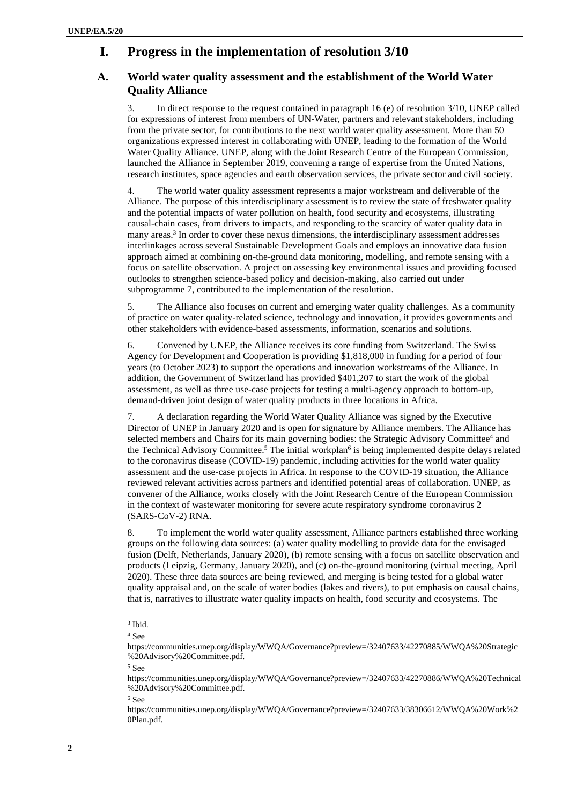# **I. Progress in the implementation of resolution 3/10**

## **A. World water quality assessment and the establishment of the World Water Quality Alliance**

3. In direct response to the request contained in paragraph 16 (e) of resolution 3/10, UNEP called for expressions of interest from members of UN-Water, partners and relevant stakeholders, including from the private sector, for contributions to the next world water quality assessment. More than 50 organizations expressed interest in collaborating with UNEP, leading to the formation of the World Water Quality Alliance. UNEP, along with the Joint Research Centre of the European Commission, launched the Alliance in September 2019, convening a range of expertise from the United Nations, research institutes, space agencies and earth observation services, the private sector and civil society.

4. The world water quality assessment represents a major workstream and deliverable of the Alliance. The purpose of this interdisciplinary assessment is to review the state of freshwater quality and the potential impacts of water pollution on health, food security and ecosystems, illustrating causal-chain cases, from drivers to impacts, and responding to the scarcity of water quality data in many areas. 3 In order to cover these nexus dimensions, the interdisciplinary assessment addresses interlinkages across several Sustainable Development Goals and employs an innovative data fusion approach aimed at combining on-the-ground data monitoring, modelling, and remote sensing with a focus on satellite observation. A project on assessing key environmental issues and providing focused outlooks to strengthen science-based policy and decision-making, also carried out under subprogramme 7, contributed to the implementation of the resolution.

5. The Alliance also focuses on current and emerging water quality challenges. As a community of practice on water quality-related science, technology and innovation, it provides governments and other stakeholders with evidence-based assessments, information, scenarios and solutions.

6. Convened by UNEP, the Alliance receives its core funding from Switzerland. The Swiss Agency for Development and Cooperation is providing \$1,818,000 in funding for a period of four years (to October 2023) to support the operations and innovation workstreams of the Alliance. In addition, the Government of Switzerland has provided \$401,207 to start the work of the global assessment, as well as three use-case projects for testing a multi-agency approach to bottom-up, demand-driven joint design of water quality products in three locations in Africa.

7. [A declaration regarding](https://communities.unep.org/display/WWQA/Governance?preview=/32407633/38306009/Signed%20Declaration%20by%20ED.pdf) the World Water Quality Alliance was signed by the Executive Director of UNEP in January 2020 and is open for signature by Alliance members. The Alliance has selected members and Chairs for its main governing bodies: the Strategic Advisory Committee<sup>4</sup> and the Technical Advisory Committee.<sup>5</sup> The initial [workplan](https://communities.unep.org/display/WWQA/Governance?preview=/32407633/38306612/WWQA%20Work%20Plan.pdf)<sup>6</sup> is being implemented despite delays related to the coronavirus disease (COVID-19) pandemic, including activities for the world water quality assessment and the use-case projects in Africa*.* In response to the COVID-19 situation, the Alliance reviewed relevant activities across partners and identified potential areas of collaboration. UNEP, as convener of the Alliance, works closely with the Joint Research Centre of the European Commission in the context of wastewater monitoring for severe acute respiratory syndrome coronavirus 2 (SARS-CoV-2) RNA.

8. To implement the world water quality assessment, Alliance partners established three working groups on the following data sources: (a) water quality modelling to provide data for the envisaged fusion (Delft, Netherlands, January 2020), (b) remote sensing with a focus on satellite observation and products (Leipzig, Germany, January 2020), and (c) on-the-ground monitoring (virtual meeting, April 2020). These three data sources are being reviewed, and merging is being tested for a global water quality appraisal and, on the scale of water bodies (lakes and rivers), to put emphasis on causal chains, that is, narratives to illustrate water quality impacts on health, food security and ecosystems. The

<sup>6</sup> See

<sup>3</sup> Ibid.

 $4 \Omega$ 

https://communities.unep.org/display/WWQA/Governance?preview=/32407633/42270885/WWQA%20Strategic %20Advisory%20Committee.pdf.

<sup>5</sup> See

https://communities.unep.org/display/WWQA/Governance?preview=/32407633/42270886/WWQA%20Technical %20Advisory%20Committee.pdf.

https://communities.unep.org/display/WWQA/Governance?preview=/32407633/38306612/WWQA%20Work%2 0Plan.pdf.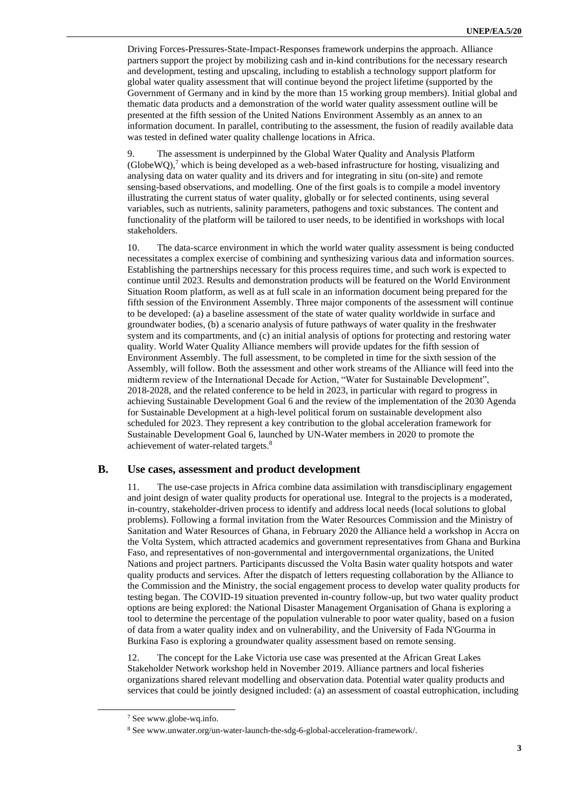Driving Forces-Pressures-State-Impact-Responses framework underpins the approach. Alliance partners support the project by mobilizing cash and in-kind contributions for the necessary research and development, testing and upscaling, including to establish a technology support platform for global water quality assessment that will continue beyond the project lifetime (supported by the Government of Germany and in kind by the more than 15 working group members). Initial global and thematic data products and a demonstration of the world water quality assessment outline will be presented at the fifth session of the United Nations Environment Assembly as an annex to an information document. In parallel, contributing to the assessment, the fusion of readily available data was tested in defined water quality challenge locations in Africa.

9. The assessment is underpinned by the Global Water Quality and Analysis Platform  $(GlobeWO)$ ,<sup>7</sup> which is being developed as a web-based infrastructure for hosting, visualizing and analysing data on water quality and its drivers and for integrating in situ (on-site) and remote sensing-based observations, and modelling. One of the first goals is to compile a model inventory illustrating the current status of water quality, globally or for selected continents, using several variables, such as nutrients, salinity parameters, pathogens and toxic substances. The content and functionality of the platform will be tailored to user needs, to be identified in workshops with local stakeholders.

10. The data-scarce environment in which the world water quality assessment is being conducted necessitates a complex exercise of combining and synthesizing various data and information sources. Establishing the partnerships necessary for this process requires time, and such work is expected to continue until 2023. Results and demonstration products will be featured on the World Environment Situation Room platform, as well as at full scale in an information document being prepared for the fifth session of the Environment Assembly. Three major components of the assessment will continue to be developed: (a) a baseline assessment of the state of water quality worldwide in surface and groundwater bodies, (b) a scenario analysis of future pathways of water quality in the freshwater system and its compartments, and (c) an initial analysis of options for protecting and restoring water quality. World Water Quality Alliance members will provide updates for the fifth session of Environment Assembly. The full assessment, to be completed in time for the sixth session of the Assembly, will follow. Both the assessment and other work streams of the Alliance will feed into the midterm review of the International Decade for Action, "Water for Sustainable Development", 2018-2028, and the related conference to be held in 2023, in particular with regard to progress in achieving Sustainable Development Goal 6 and the review of the implementation of the 2030 Agenda for Sustainable Development at a high-level political forum on sustainable development also scheduled for 2023. They represent a key contribution to the global acceleration framework for Sustainable Development Goal 6, launched by UN-Water members in 2020 to promote the achievement of water-related targets.<sup>8</sup>

#### **B. Use cases, assessment and product development**

11. The use-case projects in Africa combine data assimilation with transdisciplinary engagement and joint design of water quality products for operational use. Integral to the projects is a moderated, in-country, stakeholder-driven process to identify and address local needs (local solutions to global problems). Following a formal invitation from the Water Resources Commission and the Ministry of Sanitation and Water Resources of Ghana, in February 2020 the Alliance held a workshop in Accra on the Volta System, which attracted academics and government representatives from Ghana and Burkina Faso, and representatives of non-governmental and intergovernmental organizations, the United Nations and project partners. Participants discussed the Volta Basin water quality hotspots and water quality products and services. After the dispatch of letters requesting collaboration by the Alliance to the Commission and the Ministry, the social engagement process to develop water quality products for testing began. The COVID-19 situation prevented in-country follow-up, but two water quality product options are being explored: the National Disaster Management Organisation of Ghana is exploring a tool to determine the percentage of the population vulnerable to poor water quality, based on a fusion of data from a water quality index and on vulnerability, and the University of Fada N'Gourma in Burkina Faso is exploring a groundwater quality assessment based on remote sensing.

12. The concept for the Lake Victoria use case was presented at the African Great Lakes Stakeholder Network workshop held in November 2019. Alliance partners and local fisheries organizations shared relevant modelling and observation data. Potential water quality products and services that could be jointly designed included: (a) an assessment of coastal eutrophication, including

<sup>7</sup> See www.globe-wq.info.

<sup>8</sup> See www.unwater.org/un-water-launch-the-sdg-6-global-acceleration-framework/.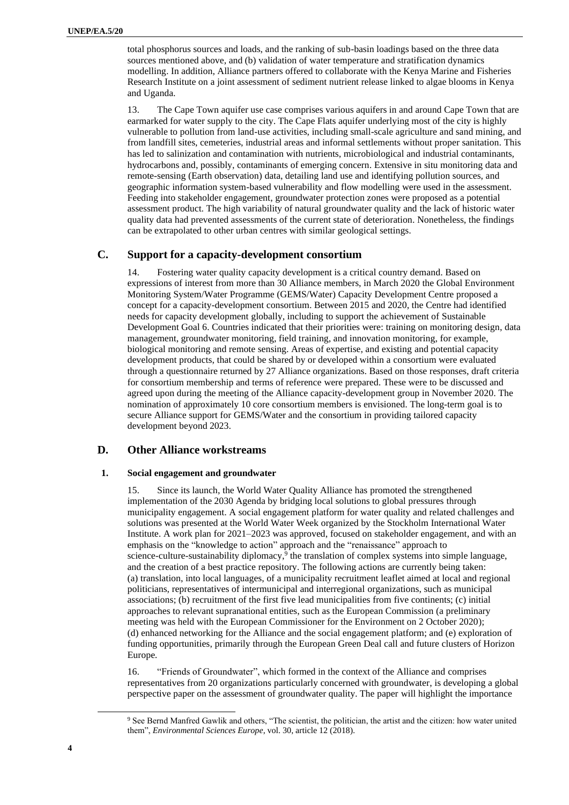total phosphorus sources and loads, and the ranking of sub-basin loadings based on the three data sources mentioned above, and (b) validation of water temperature and stratification dynamics modelling. In addition, Alliance partners offered to collaborate with the Kenya Marine and Fisheries Research Institute on a joint assessment of sediment nutrient release linked to algae blooms in Kenya and Uganda.

13. The Cape Town aquifer use case comprises various aquifers in and around Cape Town that are earmarked for water supply to the city. The Cape Flats aquifer underlying most of the city is highly vulnerable to pollution from land-use activities, including small-scale agriculture and sand mining, and from landfill sites, cemeteries, industrial areas and informal settlements without proper sanitation. This has led to salinization and contamination with nutrients, microbiological and industrial contaminants, hydrocarbons and, possibly, contaminants of emerging concern. Extensive in situ monitoring data and remote-sensing (Earth observation) data, detailing land use and identifying pollution sources, and geographic information system-based vulnerability and flow modelling were used in the assessment. Feeding into stakeholder engagement, groundwater protection zones were proposed as a potential assessment product. The high variability of natural groundwater quality and the lack of historic water quality data had prevented assessments of the current state of deterioration. Nonetheless, the findings can be extrapolated to other urban centres with similar geological settings.

#### **C. Support for a capacity-development consortium**

14. Fostering water quality capacity development is a critical country demand. Based on expressions of interest from more than 30 Alliance members, in March 2020 the Global Environment Monitoring System/Water Programme (GEMS/Water) Capacity Development Centre proposed a concept for a capacity-development consortium. Between 2015 and 2020, the Centre had identified needs for capacity development globally, including to support the achievement of Sustainable Development Goal 6. Countries indicated that their priorities were: training on monitoring design, data management, groundwater monitoring, field training, and innovation monitoring, for example, biological monitoring and remote sensing. Areas of expertise, and existing and potential capacity development products, that could be shared by or developed within a consortium were evaluated through a questionnaire returned by 27 Alliance organizations. Based on those responses, draft criteria for consortium membership and terms of reference were prepared. These were to be discussed and agreed upon during the meeting of the Alliance capacity-development group in November 2020. The nomination of approximately 10 core consortium members is envisioned. The long-term goal is to secure Alliance support for GEMS/Water and the consortium in providing tailored capacity development beyond 2023.

### **D. Other Alliance workstreams**

#### **1. Social engagement and groundwater**

15. Since its launch, the World Water Quality Alliance has promoted the strengthened implementation of the 2030 Agenda by bridging local solutions to global pressures through municipality engagement. A social engagement platform for water quality and related challenges and solutions was presented at the World Water Week organized by the Stockholm International Water Institute. A work plan for 2021–2023 was approved, focused on stakeholder engagement, and with an emphasis on the "knowledge to action" approach and the "renaissance" approach to science-culture-sustainability diplomacy,<sup>9</sup> the translation of complex systems into simple language, and the creation of a best practice repository. The following actions are currently being taken: (a) translation, into local languages, of a municipality recruitment leaflet aimed at local and regional politicians, representatives of intermunicipal and interregional organizations, such as municipal associations; (b) recruitment of the first five lead municipalities from five continents; (c) initial approaches to relevant supranational entities, such as the European Commission (a preliminary meeting was held with the European Commissioner for the Environment on 2 October 2020); (d) enhanced networking for the Alliance and the social engagement platform; and (e) exploration of funding opportunities, primarily through the European Green Deal call and future clusters of Horizon Europe.

16. "Friends of Groundwater", which formed in the context of the Alliance and comprises representatives from 20 organizations particularly concerned with groundwater, is developing a global perspective paper on the assessment of groundwater quality. The paper will highlight the importance

<sup>&</sup>lt;sup>9</sup> See Bernd Manfred Gawlik and others, "The scientist, the politician, the artist and the citizen: how water united them", *Environmental Sciences Europe*, vol. 30, article 12 (2018).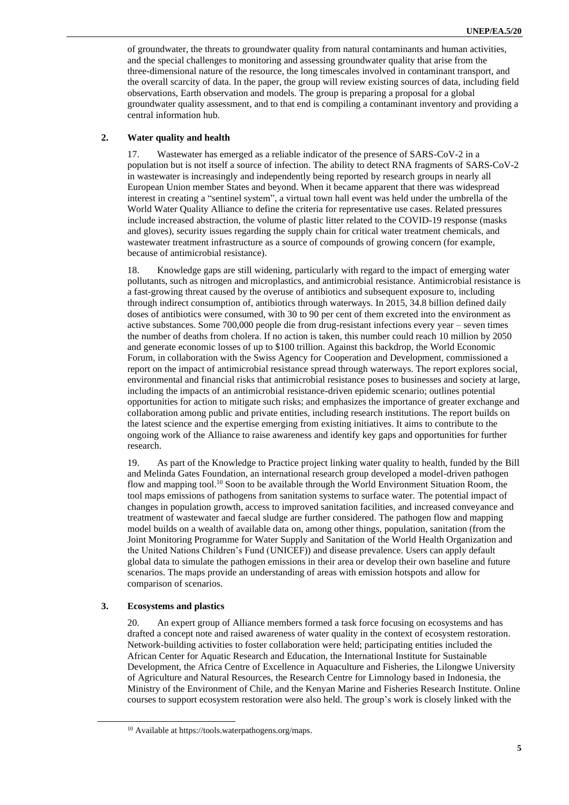of groundwater, the threats to groundwater quality from natural contaminants and human activities, and the special challenges to monitoring and assessing groundwater quality that arise from the three-dimensional nature of the resource, the long timescales involved in contaminant transport, and the overall scarcity of data. In the paper, the group will review existing sources of data, including field observations, Earth observation and models. The group is preparing a proposal for a global groundwater quality assessment, and to that end is compiling a contaminant inventory and providing a central information hub.

#### **2. Water quality and health**

17. Wastewater has emerged as a reliable indicator of the presence of SARS-CoV-2 in a population but is not itself a source of infection. The ability to detect RNA fragments of SARS-CoV-2 in wastewater is increasingly and independently being reported by research groups in nearly all European Union member States and beyond. When it became apparent that there was widespread interest in creating a "sentinel system", a virtual town hall event was held under the umbrella of the World Water Quality Alliance to define the criteria for representative use cases. Related pressures include increased abstraction, the volume of plastic litter related to the COVID-19 response (masks and gloves), security issues regarding the supply chain for critical water treatment chemicals, and wastewater treatment infrastructure as a source of compounds of growing concern (for example, because of antimicrobial resistance).

18. Knowledge gaps are still widening, particularly with regard to the impact of emerging water pollutants, such as nitrogen and microplastics, and antimicrobial resistance. Antimicrobial resistance is a fast-growing threat caused by the overuse of antibiotics and subsequent exposure to, including through indirect consumption of, antibiotics through waterways. In 2015, 34.8 billion defined daily doses of antibiotics were consumed, with 30 to 90 per cent of them excreted into the environment as active substances. Some 700,000 people die from drug-resistant infections every year – seven times the number of deaths from cholera. If no action is taken, this number could reach 10 million by 2050 and generate economic losses of up to \$100 trillion. Against this backdrop, the World Economic Forum, in collaboration with the Swiss Agency for Cooperation and Development, commissioned a report on the impact of antimicrobial resistance spread through waterways. The report explores social, environmental and financial risks that antimicrobial resistance poses to businesses and society at large, including the impacts of an antimicrobial resistance-driven epidemic scenario; outlines potential opportunities for action to mitigate such risks; and emphasizes the importance of greater exchange and collaboration among public and private entities, including research institutions. The report builds on the latest science and the expertise emerging from existing initiatives. It aims to contribute to the ongoing work of the Alliance to raise awareness and identify key gaps and opportunities for further research.

19. As part of the Knowledge to Practice project linking water quality to health, funded by the Bill and Melinda Gates Foundation, an international research group developed a model-driven pathogen flow and mapping tool.<sup>10</sup> Soon to be available through the World Environment Situation Room, the tool maps emissions of pathogens from sanitation systems to surface water. The potential impact of changes in population growth, access to improved sanitation facilities, and increased conveyance and treatment of wastewater and faecal sludge are further considered. The pathogen flow and mapping model builds on a wealth of available data on, among other things, population, sanitation (from the Joint Monitoring Programme for Water Supply and Sanitation of the World Health Organization and the United Nations Children's Fund (UNICEF)) and disease prevalence. Users can apply default global data to simulate the pathogen emissions in their area or develop their own baseline and future scenarios. The maps provide an understanding of areas with emission hotspots and allow for comparison of scenarios.

#### **3. Ecosystems and plastics**

20. An expert group of Alliance members formed a task force focusing on ecosystems and has drafted a concept note and raised awareness of water quality in the context of ecosystem restoration. Network-building activities to foster collaboration were held; participating entities included the African Center for Aquatic Research and Education, the International Institute for Sustainable Development, the Africa Centre of Excellence in Aquaculture and Fisheries, the Lilongwe University of Agriculture and Natural Resources, the Research Centre for Limnology based in Indonesia, the Ministry of the Environment of Chile, and the Kenyan Marine and Fisheries Research Institute. Online courses to support ecosystem restoration were also held. The group's work is closely linked with the

<sup>10</sup> Available a[t https://tools.waterpathogens.org/maps.](https://eur03.safelinks.protection.outlook.com/?url=https%3A%2F%2Ftools.waterpathogens.org%2Fmaps&data=02%7C01%7C%7Cc36a4749e7ac4a140c8408d87028c04b%7C27d137e5761f4dc1af88d26430abb18f%7C0%7C0%7C637382667642914522&sdata=bVWAHmApBJAgNJA1IbCJDh3iGiZnYuHFi%2B5UPzp1BzI%3D&reserved=0)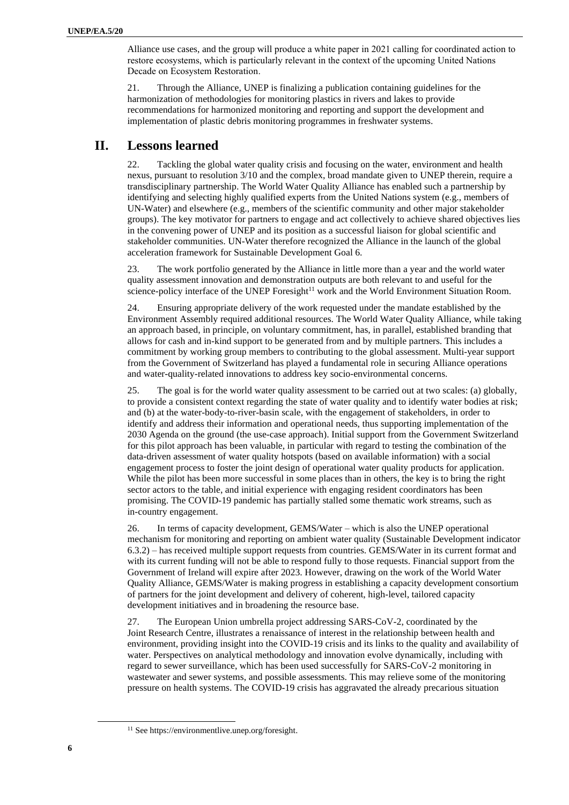Alliance use cases, and the group will produce a white paper in 2021 calling for coordinated action to restore ecosystems, which is particularly relevant in the context of the upcoming United Nations Decade on Ecosystem Restoration.

21. Through the Alliance, UNEP is finalizing a publication containing guidelines for the harmonization of methodologies for monitoring plastics in rivers and lakes to provide recommendations for harmonized monitoring and reporting and support the development and implementation of plastic debris monitoring programmes in freshwater systems.

## **II. Lessons learned**

22. Tackling the global water quality crisis and focusing on the water, environment and health nexus, pursuant to resolution 3/10 and the complex, broad mandate given to UNEP therein, require a transdisciplinary partnership. The World Water Quality Alliance has enabled such a partnership by identifying and selecting highly qualified experts from the United Nations system (e.g., members of UN-Water) and elsewhere (e.g., members of the scientific community and other major stakeholder groups). The key motivator for partners to engage and act collectively to achieve shared objectives lies in the convening power of UNEP and its position as a successful liaison for global scientific and stakeholder communities. UN-Water therefore recognized the Alliance in the launch of the global acceleration framework for Sustainable Development Goal 6.

23. The work portfolio generated by the Alliance in little more than a year and the world water quality assessment innovation and demonstration outputs are both relevant to and useful for the science-policy interface of the UNEP Foresight<sup>11</sup> work and the World Environment Situation Room.

24. Ensuring appropriate delivery of the work requested under the mandate established by the Environment Assembly required additional resources. The World Water Quality Alliance, while taking an approach based, in principle, on voluntary commitment, has, in parallel, established branding that allows for cash and in-kind support to be generated from and by multiple partners. This includes a commitment by working group members to contributing to the global assessment. Multi-year support from the Government of Switzerland has played a fundamental role in securing Alliance operations and water-quality-related innovations to address key socio-environmental concerns.

25. The goal is for the world water quality assessment to be carried out at two scales: (a) globally, to provide a consistent context regarding the state of water quality and to identify water bodies at risk; and (b) at the water-body-to-river-basin scale, with the engagement of stakeholders, in order to identify and address their information and operational needs, thus supporting implementation of the 2030 Agenda on the ground (the use-case approach). Initial support from the Government Switzerland for this pilot approach has been valuable, in particular with regard to testing the combination of the data-driven assessment of water quality hotspots (based on available information) with a social engagement process to foster the joint design of operational water quality products for application. While the pilot has been more successful in some places than in others, the key is to bring the right sector actors to the table, and initial experience with engaging resident coordinators has been promising. The COVID-19 pandemic has partially stalled some thematic work streams, such as in-country engagement.

26. In terms of capacity development, GEMS/Water – which is also the UNEP operational mechanism for monitoring and reporting on ambient water quality (Sustainable Development indicator 6.3.2) – has received multiple support requests from countries. GEMS/Water in its current format and with its current funding will not be able to respond fully to those requests. Financial support from the Government of Ireland will expire after 2023. However, drawing on the work of the World Water Quality Alliance, GEMS/Water is making progress in establishing a capacity development consortium of partners for the joint development and delivery of coherent, high-level, tailored capacity development initiatives and in broadening the resource base.

27. The European Union umbrella project addressing SARS-CoV-2, coordinated by the Joint Research Centre, illustrates a renaissance of interest in the relationship between health and environment, providing insight into the COVID-19 crisis and its links to the quality and availability of water. Perspectives on analytical methodology and innovation evolve dynamically, including with regard to sewer surveillance, which has been used successfully for SARS-CoV-2 monitoring in wastewater and sewer systems, and possible assessments. This may relieve some of the monitoring pressure on health systems. The COVID-19 crisis has aggravated the already precarious situation

<sup>11</sup> Se[e https://environmentlive.unep.org/foresight.](https://environmentlive.unep.org/foresight)